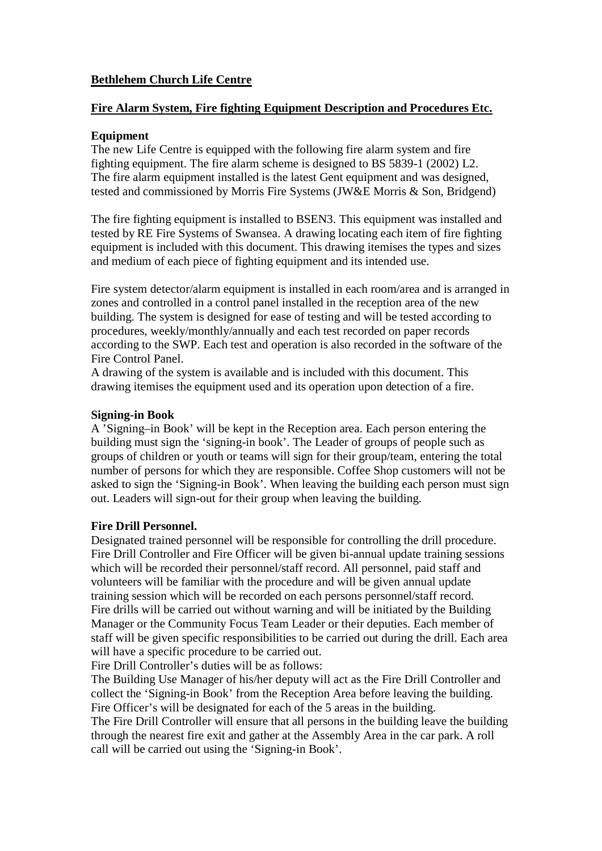## **Bethlehem Church Life Centre**

#### **Fire Alarm System, Fire fighting Equipment Description and Procedures Etc.**

#### **Equipment**

The new Life Centre is equipped with the following fire alarm system and fire fighting equipment. The fire alarm scheme is designed to BS 5839-1 (2002) L2. The fire alarm equipment installed is the latest Gent equipment and was designed, tested and commissioned by Morris Fire Systems (JW&E Morris & Son, Bridgend)

The fire fighting equipment is installed to BSEN3. This equipment was installed and tested by RE Fire Systems of Swansea. A drawing locating each item of fire fighting equipment is included with this document. This drawing itemises the types and sizes and medium of each piece of fighting equipment and its intended use.

Fire system detector/alarm equipment is installed in each room/area and is arranged in zones and controlled in a control panel installed in the reception area of the new building. The system is designed for ease of testing and will be tested according to procedures, weekly/monthly/annually and each test recorded on paper records according to the SWP. Each test and operation is also recorded in the software of the Fire Control Panel.

A drawing of the system is available and is included with this document. This drawing itemises the equipment used and its operation upon detection of a fire.

#### **Signing-in Book**

A 'Signing–in Book' will be kept in the Reception area. Each person entering the building must sign the 'signing-in book'. The Leader of groups of people such as groups of children or youth or teams will sign for their group/team, entering the total number of persons for which they are responsible. Coffee Shop customers will not be asked to sign the 'Signing-in Book'. When leaving the building each person must sign out. Leaders will sign-out for their group when leaving the building.

#### **Fire Drill Personnel.**

Designated trained personnel will be responsible for controlling the drill procedure. Fire Drill Controller and Fire Officer will be given bi-annual update training sessions which will be recorded their personnel/staff record. All personnel, paid staff and volunteers will be familiar with the procedure and will be given annual update training session which will be recorded on each persons personnel/staff record. Fire drills will be carried out without warning and will be initiated by the Building Manager or the Community Focus Team Leader or their deputies. Each member of staff will be given specific responsibilities to be carried out during the drill. Each area will have a specific procedure to be carried out.

Fire Drill Controller's duties will be as follows:

The Building Use Manager of his/her deputy will act as the Fire Drill Controller and collect the 'Signing-in Book' from the Reception Area before leaving the building. Fire Officer's will be designated for each of the 5 areas in the building.

The Fire Drill Controller will ensure that all persons in the building leave the building through the nearest fire exit and gather at the Assembly Area in the car park. A roll call will be carried out using the 'Signing-in Book'.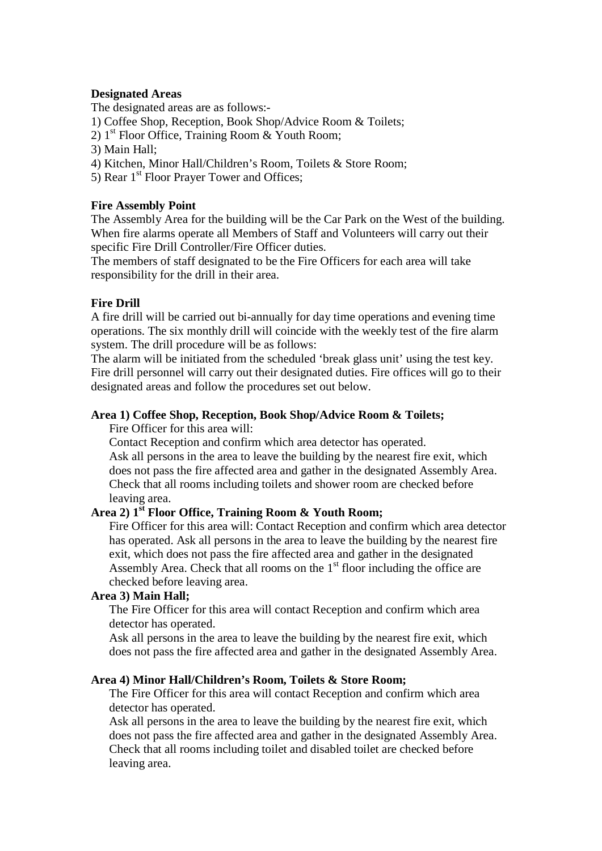#### **Designated Areas**

The designated areas are as follows:-

1) Coffee Shop, Reception, Book Shop/Advice Room & Toilets;

- 2)  $1<sup>st</sup>$  Floor Office, Training Room & Youth Room;
- 3) Main Hall;
- 4) Kitchen, Minor Hall/Children's Room, Toilets & Store Room;
- 5) Rear 1<sup>st</sup> Floor Prayer Tower and Offices;

#### **Fire Assembly Point**

The Assembly Area for the building will be the Car Park on the West of the building. When fire alarms operate all Members of Staff and Volunteers will carry out their specific Fire Drill Controller/Fire Officer duties.

The members of staff designated to be the Fire Officers for each area will take responsibility for the drill in their area.

#### **Fire Drill**

A fire drill will be carried out bi-annually for day time operations and evening time operations. The six monthly drill will coincide with the weekly test of the fire alarm system. The drill procedure will be as follows:

The alarm will be initiated from the scheduled 'break glass unit' using the test key. Fire drill personnel will carry out their designated duties. Fire offices will go to their designated areas and follow the procedures set out below.

#### **Area 1) Coffee Shop, Reception, Book Shop/Advice Room & Toilets;**

Fire Officer for this area will:

Contact Reception and confirm which area detector has operated. Ask all persons in the area to leave the building by the nearest fire exit, which does not pass the fire affected area and gather in the designated Assembly Area. Check that all rooms including toilets and shower room are checked before leaving area.

### Area 2) 1<sup>st</sup> **Floor Office, Training Room & Youth Room;**

Fire Officer for this area will: Contact Reception and confirm which area detector has operated. Ask all persons in the area to leave the building by the nearest fire exit, which does not pass the fire affected area and gather in the designated Assembly Area. Check that all rooms on the  $1<sup>st</sup>$  floor including the office are checked before leaving area.

#### **Area 3) Main Hall;**

The Fire Officer for this area will contact Reception and confirm which area detector has operated.

Ask all persons in the area to leave the building by the nearest fire exit, which does not pass the fire affected area and gather in the designated Assembly Area.

#### **Area 4) Minor Hall/Children's Room, Toilets & Store Room;**

The Fire Officer for this area will contact Reception and confirm which area detector has operated.

Ask all persons in the area to leave the building by the nearest fire exit, which does not pass the fire affected area and gather in the designated Assembly Area. Check that all rooms including toilet and disabled toilet are checked before leaving area.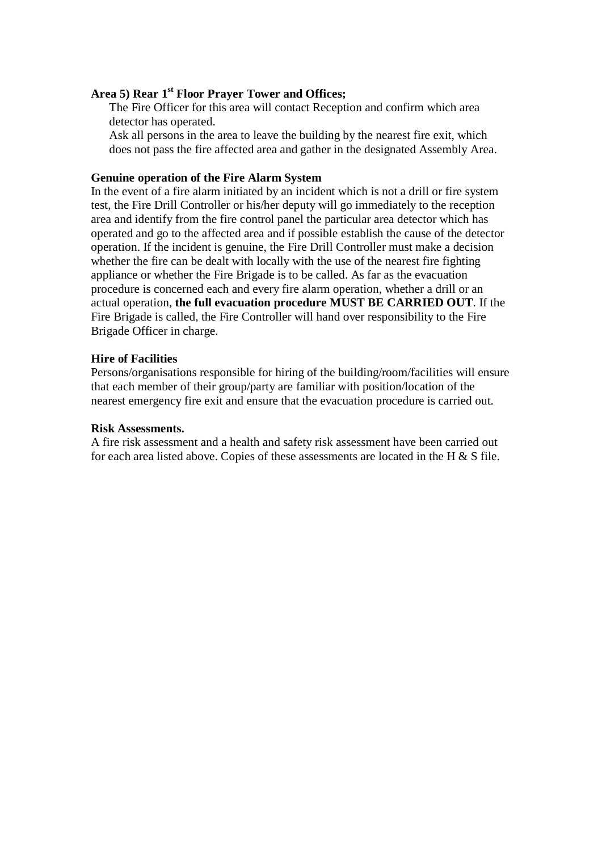#### **Area 5) Rear 1st Floor Prayer Tower and Offices;**

The Fire Officer for this area will contact Reception and confirm which area detector has operated.

 Ask all persons in the area to leave the building by the nearest fire exit, which does not pass the fire affected area and gather in the designated Assembly Area.

#### **Genuine operation of the Fire Alarm System**

In the event of a fire alarm initiated by an incident which is not a drill or fire system test, the Fire Drill Controller or his/her deputy will go immediately to the reception area and identify from the fire control panel the particular area detector which has operated and go to the affected area and if possible establish the cause of the detector operation. If the incident is genuine, the Fire Drill Controller must make a decision whether the fire can be dealt with locally with the use of the nearest fire fighting appliance or whether the Fire Brigade is to be called. As far as the evacuation procedure is concerned each and every fire alarm operation, whether a drill or an actual operation, **the full evacuation procedure MUST BE CARRIED OUT**. If the Fire Brigade is called, the Fire Controller will hand over responsibility to the Fire Brigade Officer in charge.

#### **Hire of Facilities**

Persons/organisations responsible for hiring of the building/room/facilities will ensure that each member of their group/party are familiar with position/location of the nearest emergency fire exit and ensure that the evacuation procedure is carried out.

#### **Risk Assessments.**

A fire risk assessment and a health and safety risk assessment have been carried out for each area listed above. Copies of these assessments are located in the H & S file.